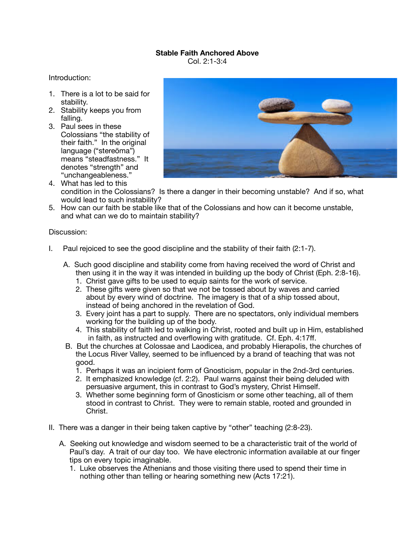## **Stable Faith Anchored Above**

Col. 2:1-3:4

Introduction:

- 1. There is a lot to be said for stability.
- 2. Stability keeps you from falling.
- 3. Paul sees in these Colossians "the stability of their faith." In the original language ("stereōma") means "steadfastness." It denotes "strength" and "unchangeableness."



- 4. What has led to this condition in the Colossians? Is there a danger in their becoming unstable? And if so, what would lead to such instability?
- 5. How can our faith be stable like that of the Colossians and how can it become unstable, and what can we do to maintain stability?

Discussion:

- I. Paul rejoiced to see the good discipline and the stability of their faith (2:1-7).
	- A. Such good discipline and stability come from having received the word of Christ and then using it in the way it was intended in building up the body of Christ (Eph. 2:8-16).
		- 1. Christ gave gifts to be used to equip saints for the work of service.
		- 2. These gifts were given so that we not be tossed about by waves and carried about by every wind of doctrine. The imagery is that of a ship tossed about, instead of being anchored in the revelation of God.
		- 3. Every joint has a part to supply. There are no spectators, only individual members working for the building up of the body.
		- 4. This stability of faith led to walking in Christ, rooted and built up in Him, established in faith, as instructed and overflowing with gratitude. Cf. Eph. 4:17ff.
	- B. But the churches at Colossae and Laodicea, and probably Hierapolis, the churches of the Locus River Valley, seemed to be influenced by a brand of teaching that was not good.
		- 1. Perhaps it was an incipient form of Gnosticism, popular in the 2nd-3rd centuries.
		- 2. It emphasized knowledge (cf. 2:2). Paul warns against their being deluded with persuasive argument, this in contrast to God's mystery, Christ Himself.
		- 3. Whether some beginning form of Gnosticism or some other teaching, all of them stood in contrast to Christ. They were to remain stable, rooted and grounded in Christ.
- II. There was a danger in their being taken captive by "other" teaching (2:8-23).
	- A. Seeking out knowledge and wisdom seemed to be a characteristic trait of the world of Paul's day. A trait of our day too. We have electronic information available at our finger tips on every topic imaginable.
		- 1. Luke observes the Athenians and those visiting there used to spend their time in nothing other than telling or hearing something new (Acts 17:21).